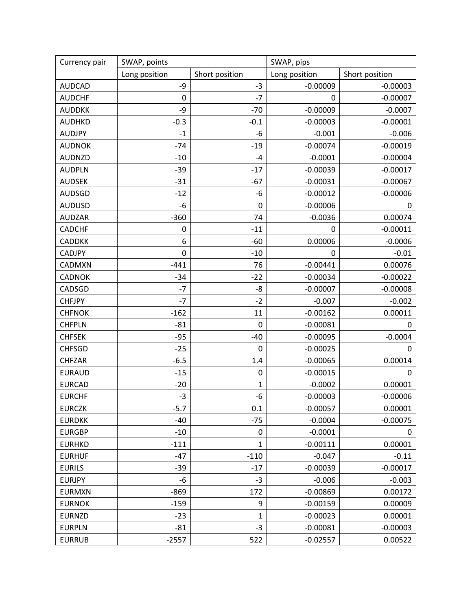| Currency pair | SWAP, points  |                  | SWAP, pips    |                |
|---------------|---------------|------------------|---------------|----------------|
|               | Long position | Short position   | Long position | Short position |
| <b>AUDCAD</b> | -9            | $-3$             | $-0.00009$    | $-0.00003$     |
| <b>AUDCHF</b> | 0             | -7               | 0             | $-0.00007$     |
| <b>AUDDKK</b> | -9            | $-70$            | $-0.00009$    | $-0.0007$      |
| <b>AUDHKD</b> | $-0.3$        | $-0.1$           | $-0.00003$    | $-0.00001$     |
| <b>AUDJPY</b> | $-1$          | -6               | $-0.001$      | $-0.006$       |
| <b>AUDNOK</b> | $-74$         | $-19$            | $-0.00074$    | $-0.00019$     |
| <b>AUDNZD</b> | $-10$         | -4               | $-0.0001$     | $-0.00004$     |
| <b>AUDPLN</b> | $-39$         | $-17$            | $-0.00039$    | $-0.00017$     |
| <b>AUDSEK</b> | $-31$         | $-67$            | $-0.00031$    | $-0.00067$     |
| <b>AUDSGD</b> | $-12$         | -6               | $-0.00012$    | $-0.00006$     |
| <b>AUDUSD</b> | -6            | $\boldsymbol{0}$ | $-0.00006$    | 0              |
| <b>AUDZAR</b> | $-360$        | 74               | $-0.0036$     | 0.00074        |
| <b>CADCHF</b> | 0             | $-11$            | 0             | $-0.00011$     |
| <b>CADDKK</b> | 6             | $-60$            | 0.00006       | $-0.0006$      |
| <b>CADJPY</b> | 0             | $-10$            | 0             | $-0.01$        |
| CADMXN        | $-441$        | 76               | $-0.00441$    | 0.00076        |
| <b>CADNOK</b> | $-34$         | $-22$            | $-0.00034$    | $-0.00022$     |
| CADSGD        | $-7$          | -8               | $-0.00007$    | $-0.00008$     |
| <b>CHFJPY</b> | $-7$          | $-2$             | $-0.007$      | $-0.002$       |
| <b>CHFNOK</b> | $-162$        | 11               | $-0.00162$    | 0.00011        |
| <b>CHFPLN</b> | $-81$         | 0                | $-0.00081$    | 0              |
| <b>CHFSEK</b> | $-95$         | $-40$            | $-0.00095$    | $-0.0004$      |
| <b>CHFSGD</b> | $-25$         | 0                | $-0.00025$    | 0              |
| <b>CHFZAR</b> | $-6.5$        | 1.4              | $-0.00065$    | 0.00014        |
| <b>EURAUD</b> | $-15$         | 0                | $-0.00015$    | 0              |
| <b>EURCAD</b> | $-20$         | 1                | $-0.0002$     | 0.00001        |
| <b>EURCHF</b> | $-3$          | -6               | $-0.00003$    | $-0.00006$     |
| <b>EURCZK</b> | $-5.7$        | 0.1              | $-0.00057$    | 0.00001        |
| <b>EURDKK</b> | $-40$         | $-75$            | $-0.0004$     | $-0.00075$     |
| <b>EURGBP</b> | $-10$         | 0                | $-0.0001$     | 0              |
| <b>EURHKD</b> | $-111$        | 1                | $-0.00111$    | 0.00001        |
| <b>EURHUF</b> | $-47$         | $-110$           | $-0.047$      | $-0.11$        |
| <b>EURILS</b> | $-39$         | $-17$            | $-0.00039$    | $-0.00017$     |
| <b>EURJPY</b> | -6            | $-3$             | $-0.006$      | $-0.003$       |
| <b>EURMXN</b> | $-869$        | 172              | $-0.00869$    | 0.00172        |
| <b>EURNOK</b> | $-159$        | 9                | $-0.00159$    | 0.00009        |
| <b>EURNZD</b> | $-23$         | 1                | $-0.00023$    | 0.00001        |
| <b>EURPLN</b> | $-81$         | $-3$             | $-0.00081$    | $-0.00003$     |
| <b>EURRUB</b> | $-2557$       | 522              | $-0.02557$    | 0.00522        |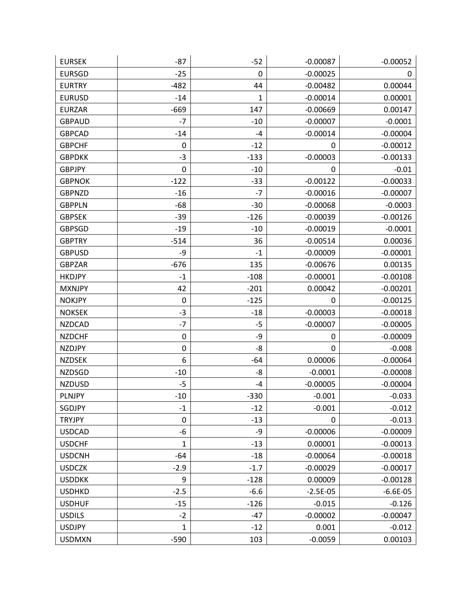| <b>EURSEK</b> | $-87$        | $-52$        | $-0.00087$ | $-0.00052$ |
|---------------|--------------|--------------|------------|------------|
| <b>EURSGD</b> | $-25$        | 0            | $-0.00025$ | 0          |
| <b>EURTRY</b> | $-482$       | 44           | $-0.00482$ | 0.00044    |
| <b>EURUSD</b> | $-14$        | $\mathbf{1}$ | $-0.00014$ | 0.00001    |
| <b>EURZAR</b> | $-669$       | 147          | $-0.00669$ | 0.00147    |
| <b>GBPAUD</b> | -7           | $-10$        | $-0.00007$ | $-0.0001$  |
| <b>GBPCAD</b> | $-14$        | $-4$         | $-0.00014$ | $-0.00004$ |
| <b>GBPCHF</b> | 0            | $-12$        | 0          | $-0.00012$ |
| <b>GBPDKK</b> | $-3$         | $-133$       | $-0.00003$ | $-0.00133$ |
| <b>GBPJPY</b> | 0            | $-10$        | 0          | $-0.01$    |
| <b>GBPNOK</b> | $-122$       | $-33$        | $-0.00122$ | $-0.00033$ |
| <b>GBPNZD</b> | $-16$        | $-7$         | $-0.00016$ | $-0.00007$ |
| <b>GBPPLN</b> | $-68$        | $-30$        | $-0.00068$ | $-0.0003$  |
| <b>GBPSEK</b> | $-39$        | $-126$       | $-0.00039$ | $-0.00126$ |
| <b>GBPSGD</b> | $-19$        | $-10$        | $-0.00019$ | $-0.0001$  |
| <b>GBPTRY</b> | $-514$       | 36           | $-0.00514$ | 0.00036    |
| <b>GBPUSD</b> | -9           | $-1$         | $-0.00009$ | $-0.00001$ |
| <b>GBPZAR</b> | $-676$       | 135          | $-0.00676$ | 0.00135    |
| <b>HKDJPY</b> | $-1$         | $-108$       | $-0.00001$ | $-0.00108$ |
| <b>MXNJPY</b> | 42           | $-201$       | 0.00042    | $-0.00201$ |
| <b>NOKJPY</b> | 0            | $-125$       | 0          | $-0.00125$ |
| <b>NOKSEK</b> | $-3$         | $-18$        | $-0.00003$ | $-0.00018$ |
| <b>NZDCAD</b> | $-7$         | -5           | $-0.00007$ | $-0.00005$ |
| <b>NZDCHF</b> | 0            | -9           | 0          | $-0.00009$ |
| <b>NZDJPY</b> | 0            | -8           | 0          | $-0.008$   |
| <b>NZDSEK</b> | 6            | $-64$        | 0.00006    | $-0.00064$ |
| <b>NZDSGD</b> | $-10$        | -8           | $-0.0001$  | $-0.00008$ |
| <b>NZDUSD</b> | -5           | -4           | $-0.00005$ | $-0.00004$ |
| <b>PLNJPY</b> | $-10$        | $-330$       | $-0.001$   | $-0.033$   |
| SGDJPY        | $-1$         | $-12$        | $-0.001$   | $-0.012$   |
| <b>TRYJPY</b> | 0            | $-13$        | 0          | $-0.013$   |
| <b>USDCAD</b> | -6           | -9           | $-0.00006$ | $-0.00009$ |
| <b>USDCHF</b> | $\mathbf{1}$ | $-13$        | 0.00001    | $-0.00013$ |
| <b>USDCNH</b> | $-64$        | $-18$        | $-0.00064$ | $-0.00018$ |
| <b>USDCZK</b> | $-2.9$       | $-1.7$       | $-0.00029$ | $-0.00017$ |
| <b>USDDKK</b> | 9            | $-128$       | 0.00009    | $-0.00128$ |
| <b>USDHKD</b> | $-2.5$       | $-6.6$       | $-2.5E-05$ | $-6.6E-05$ |
| <b>USDHUF</b> | $-15$        | $-126$       | $-0.015$   | $-0.126$   |
| <b>USDILS</b> | $-2$         | $-47$        | $-0.00002$ | $-0.00047$ |
| <b>USDJPY</b> | $\mathbf{1}$ | $-12$        | 0.001      | $-0.012$   |
| <b>USDMXN</b> | $-590$       | 103          | $-0.0059$  | 0.00103    |